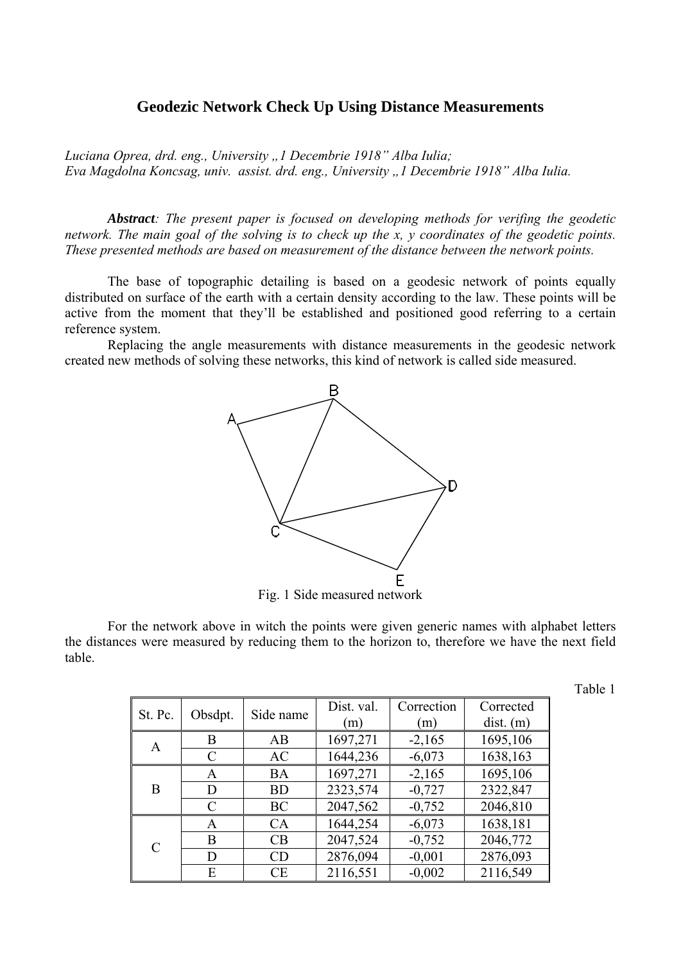## **Geodezic Network Check Up Using Distance Measurements**

*Luciana Oprea, drd. eng., University "1 Decembrie 1918" Alba Iulia; Eva Magdolna Koncsag, univ. assist. drd. eng., University "1 Decembrie 1918" Alba Iulia.* 

*Abstract: The present paper is focused on developing methods for verifing the geodetic network. The main goal of the solving is to check up the x, y coordinates of the geodetic points. These presented methods are based on measurement of the distance between the network points.* 

The base of topographic detailing is based on a geodesic network of points equally distributed on surface of the earth with a certain density according to the law. These points will be active from the moment that they'll be established and positioned good referring to a certain reference system.

Replacing the angle measurements with distance measurements in the geodesic network created new methods of solving these networks, this kind of network is called side measured.



Fig. 1 Side measured network

For the network above in witch the points were given generic names with alphabet letters the distances were measured by reducing them to the horizon to, therefore we have the next field table.

Table 1

| St. Pc.       | Obsdpt.   | Side name | Dist. val.<br>(m) | Correction<br>(m) | Corrected<br>$dist.$ (m) |
|---------------|-----------|-----------|-------------------|-------------------|--------------------------|
| A             | B         | AB        | 1697,271          | $-2,165$          | 1695,106                 |
|               | $\subset$ | AC        | 1644,236          | $-6,073$          | 1638,163                 |
| B             | A         | <b>BA</b> | 1697,271          | $-2,165$          | 1695,106                 |
|               | D         | <b>BD</b> | 2323,574          | $-0,727$          | 2322,847                 |
|               | C         | BC        | 2047,562          | $-0,752$          | 2046,810                 |
|               | A         | CA        | 1644,254          | $-6,073$          | 1638,181                 |
| $\mathcal{C}$ | B         | CB        | 2047,524          | $-0,752$          | 2046,772                 |
|               | D         | CD        | 2876,094          | $-0,001$          | 2876,093                 |
|               | E         | CE        | 2116,551          | $-0,002$          | 2116,549                 |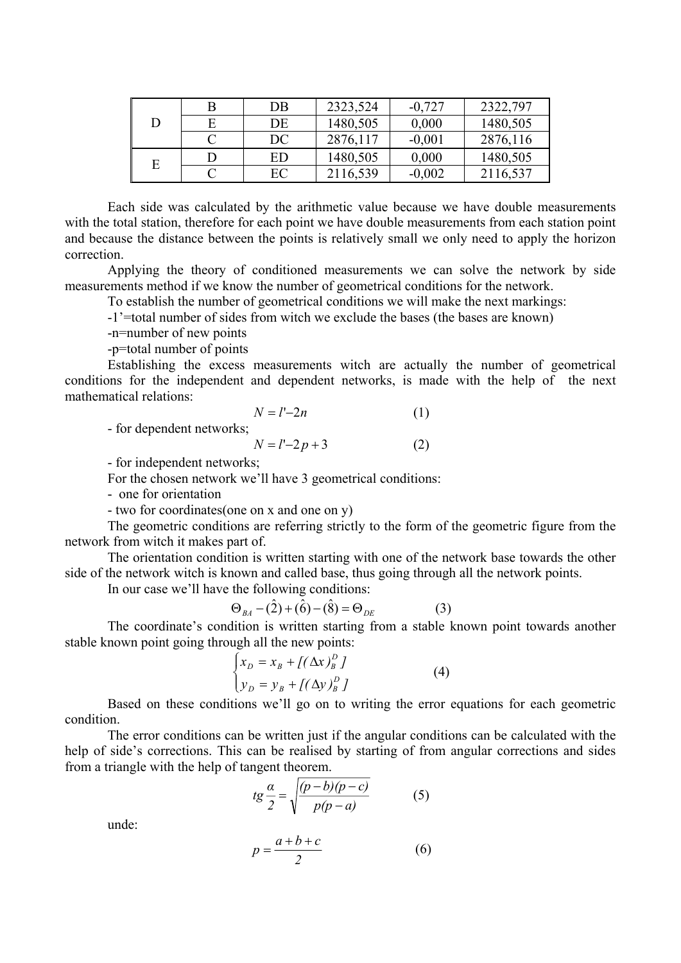| D | DB | 2323,524 | $-0,727$ | 2322,797 |
|---|----|----------|----------|----------|
|   | DE | 1480,505 | 0,000    | 1480,505 |
|   | DC | 2876,117 | $-0,001$ | 2876,116 |
| Ē | ED | 1480,505 | 0,000    | 1480,505 |
|   | EС | 2116,539 | $-0,002$ | 2116,537 |

Each side was calculated by the arithmetic value because we have double measurements with the total station, therefore for each point we have double measurements from each station point and because the distance between the points is relatively small we only need to apply the horizon correction.

Applying the theory of conditioned measurements we can solve the network by side measurements method if we know the number of geometrical conditions for the network.

To establish the number of geometrical conditions we will make the next markings:

-1'=total number of sides from witch we exclude the bases (the bases are known)

-n=number of new points

-p=total number of points

Establishing the excess measurements witch are actually the number of geometrical conditions for the independent and dependent networks, is made with the help of the next mathematical relations:

$$
N = l' - 2n\tag{1}
$$

- for dependent networks;

$$
N = l' - 2p + 3\tag{2}
$$

- for independent networks;

For the chosen network we'll have 3 geometrical conditions:

- one for orientation

- two for coordinates(one on x and one on y)

The geometric conditions are referring strictly to the form of the geometric figure from the network from witch it makes part of.

The orientation condition is written starting with one of the network base towards the other side of the network witch is known and called base, thus going through all the network points.

In our case we'll have the following conditions:

$$
\Theta_{BA} - (\hat{2}) + (\hat{6}) - (\hat{8}) = \Theta_{DE}
$$
 (3)

The coordinate's condition is written starting from a stable known point towards another stable known point going through all the new points:

$$
\begin{cases} x_D = x_B + \left[ (\Delta x)_B^D \right] \\ y_D = y_B + \left[ (\Delta y)_B^D \right] \end{cases}
$$
 (4)

Based on these conditions we'll go on to writing the error equations for each geometric condition.

The error conditions can be written just if the angular conditions can be calculated with the help of side's corrections. This can be realised by starting of from angular corrections and sides from a triangle with the help of tangent theorem.

$$
tg\frac{\alpha}{2} = \sqrt{\frac{(p-b)(p-c)}{p(p-a)}}\tag{5}
$$

unde:

$$
p = \frac{a+b+c}{2} \tag{6}
$$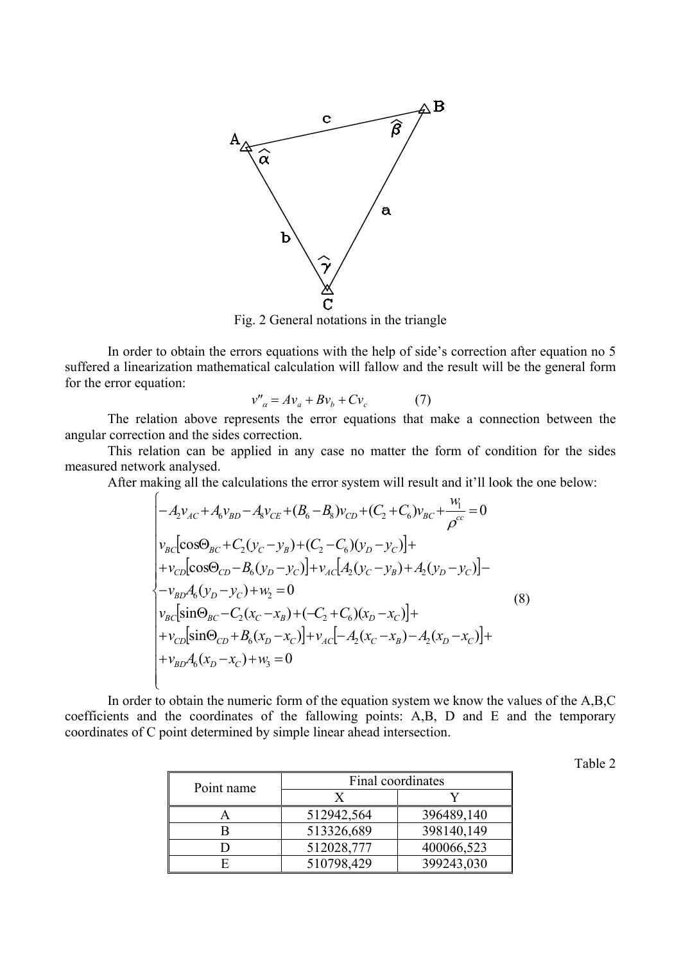

Fig. 2 General notations in the triangle

In order to obtain the errors equations with the help of side's correction after equation no 5 suffered a linearization mathematical calculation will fallow and the result will be the general form for the error equation:

$$
v''_a = Av_a + Bv_b + Cv_c \tag{7}
$$

The relation above represents the error equations that make a connection between the angular correction and the sides correction.

This relation can be applied in any case no matter the form of condition for the sides measured network analysed.

After making all the calculations the error system will result and it'll look the one below:

$$
\begin{cases}\n-A_2 v_{AC} + A_6 v_{BD} - A_8 v_{CE} + (B_6 - B_8) v_{CD} + (C_2 + C_6) v_{BC} + \frac{w_1}{\rho^{cc}} = 0 \\
v_{BC} [\cos \Theta_{BC} + C_2 (y_C - y_B) + (C_2 - C_6) (y_D - y_C)] + \\
+v_{CD} [\cos \Theta_{CD} - B_6 (y_D - y_C)] + v_{AC} [A_2 (y_C - y_B) + A_2 (y_D - y_C)] - \\
-v_{BD} A_6 (y_D - y_C) + w_2 = 0 \\
v_{BC} [\sin \Theta_{BC} - C_2 (x_C - x_B) + (-C_2 + C_6) (x_D - x_C)] + \\
+v_{CD} [\sin \Theta_{CD} + B_6 (x_D - x_C)] + v_{AC} [-A_2 (x_C - x_B) - A_2 (x_D - x_C)] + \\
+v_{BD} A_6 (x_D - x_C) + w_3 = 0\n\end{cases} (8)
$$

In order to obtain the numeric form of the equation system we know the values of the A,B,C coefficients and the coordinates of the fallowing points: A,B, D and E and the temporary coordinates of C point determined by simple linear ahead intersection.

| Point name | Final coordinates |            |  |
|------------|-------------------|------------|--|
|            |                   |            |  |
|            | 512942,564        | 396489,140 |  |
|            | 513326,689        | 398140,149 |  |
|            | 512028,777        | 400066,523 |  |
|            | 510798,429        | 399243,030 |  |

Table 2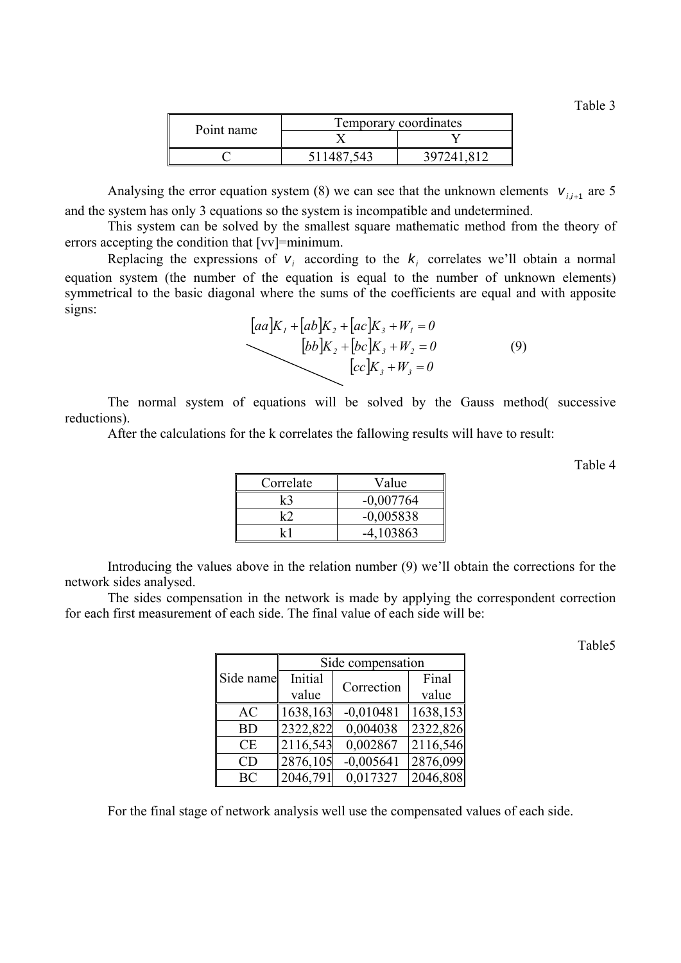Table 3

| Point name | Temporary coordinates |  |  |
|------------|-----------------------|--|--|
|            |                       |  |  |
|            |                       |  |  |

Analysing the error equation system (8) we can see that the unknown elements  $v_{i,i+1}$  are 5 and the system has only 3 equations so the system is incompatible and undetermined.

This system can be solved by the smallest square mathematic method from the theory of errors accepting the condition that [vv]=minimum.

Replacing the expressions of  $v_i$  according to the  $k_i$  correlates we'll obtain a normal equation system (the number of the equation is equal to the number of unknown elements) symmetrical to the basic diagonal where the sums of the coefficients are equal and with apposite signs:

$$
[aa]K_1 + [ab]K_2 + [ac]K_3 + W_1 = 0
$$
  
\n
$$
[bb]K_2 + [bc]K_3 + W_2 = 0
$$
  
\n
$$
[cc]K_3 + W_3 = 0
$$
\n(9)

The normal system of equations will be solved by the Gauss method( successive reductions).

After the calculations for the k correlates the fallowing results will have to result:

Table 4

| Correlate | Value       |
|-----------|-------------|
| k3        | $-0,007764$ |
| k?        | $-0,005838$ |
| lz 1      | $-4,103863$ |

Introducing the values above in the relation number (9) we'll obtain the corrections for the network sides analysed.

The sides compensation in the network is made by applying the correspondent correction for each first measurement of each side. The final value of each side will be:

Table5

|           | Side compensation |             |          |  |
|-----------|-------------------|-------------|----------|--|
| Side name | Initial           | Correction  | Final    |  |
|           | value             |             | value    |  |
| AC        | 1638,163          | $-0,010481$ | 1638,153 |  |
| <b>BD</b> | 2322,822          | 0,004038    | 2322,826 |  |
| CE        | 2116,543          | 0,002867    | 2116,546 |  |
| CD        | 2876,105          | $-0,005641$ | 2876,099 |  |
| <b>BC</b> | 2046,791          | 0,017327    | 2046,808 |  |

For the final stage of network analysis well use the compensated values of each side.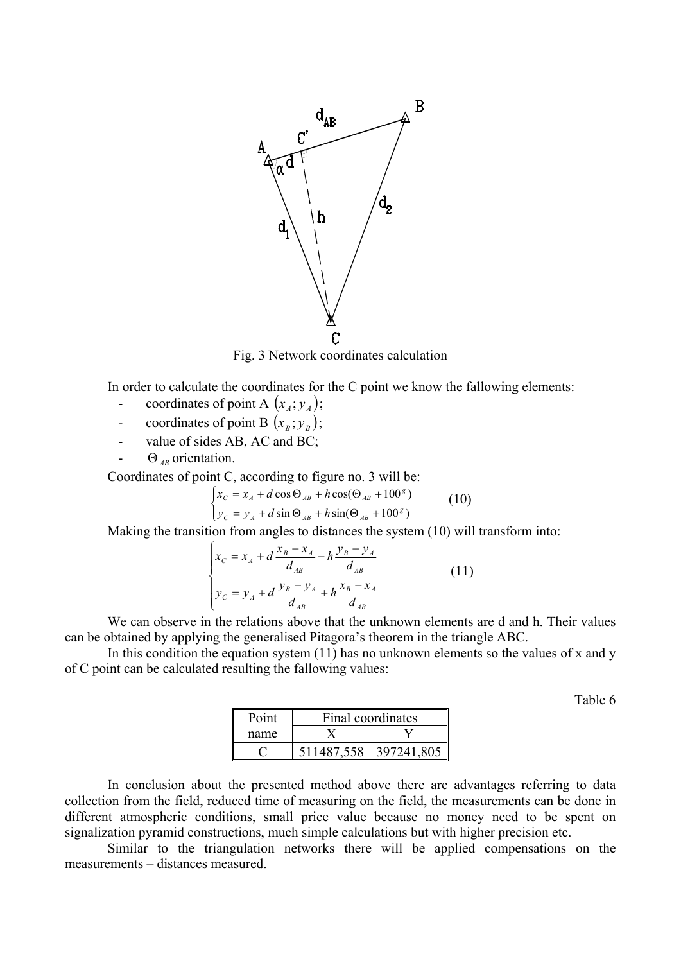

Fig. 3 Network coordinates calculation

In order to calculate the coordinates for the C point we know the fallowing elements:

- coordinates of point A  $(x_A; y_A)$ ;
- coordinates of point B  $(x_B; y_B)$ ;
- value of sides AB, AC and BC;
- $\Theta$ <sub>AB</sub> orientation.

Coordinates of point C, according to figure no. 3 will be:

$$
\begin{cases}\nx_C = x_A + d\cos\Theta_{AB} + h\cos(\Theta_{AB} + 100^{\circ}) \\
y_C = y_A + d\sin\Theta_{AB} + h\sin(\Theta_{AB} + 100^{\circ})\n\end{cases}
$$
\n(10)

Making the transition from angles to distances the system (10) will transform into:

$$
\begin{cases}\nx_C = x_A + d \frac{x_B - x_A}{d_{AB}} - h \frac{y_B - y_A}{d_{AB}} \\
y_C = y_A + d \frac{y_B - y_A}{d_{AB}} + h \frac{x_B - x_A}{d_{AB}}\n\end{cases}
$$
\n(11)

We can observe in the relations above that the unknown elements are d and h. Their values can be obtained by applying the generalised Pitagora's theorem in the triangle ABC.

In this condition the equation system (11) has no unknown elements so the values of x and y of C point can be calculated resulting the fallowing values:

Table 6

| Point | Final coordinates |            |  |
|-------|-------------------|------------|--|
| name  |                   |            |  |
|       | 511487,558        | 397241,805 |  |

In conclusion about the presented method above there are advantages referring to data collection from the field, reduced time of measuring on the field, the measurements can be done in different atmospheric conditions, small price value because no money need to be spent on signalization pyramid constructions, much simple calculations but with higher precision etc.

Similar to the triangulation networks there will be applied compensations on the measurements – distances measured.